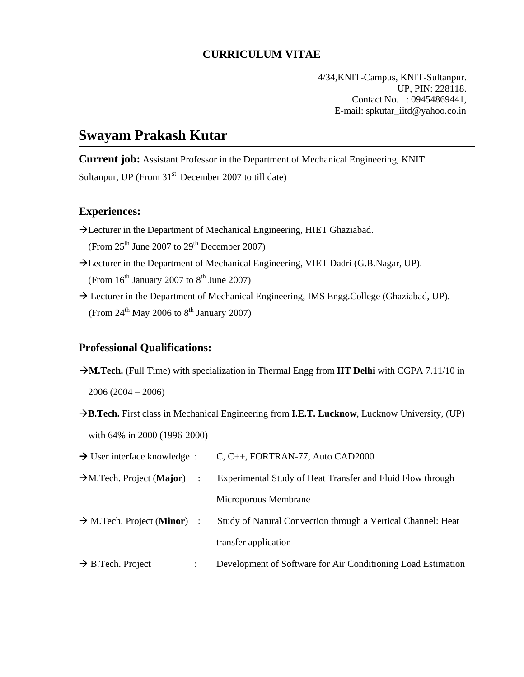### **CURRICULUM VITAE**

4/34,KNIT-Campus, KNIT-Sultanpur. UP, PIN: 228118. Contact No. : 09454869441, E-mail: spkutar\_iitd@yahoo.co.in

### **Swayam Prakash Kutar**

**Current job:** Assistant Professor in the Department of Mechanical Engineering, KNIT Sultanpur, UP (From  $31<sup>st</sup>$  December 2007 to till date)

#### **Experiences:**

- Hecturer in the Department of Mechanical Engineering, HIET Ghaziabad. (From  $25<sup>th</sup>$  June 2007 to  $29<sup>th</sup>$  December 2007)
- Hecturer in the Department of Mechanical Engineering, VIET Dadri (G.B.Nagar, UP). (From  $16<sup>th</sup>$  January 2007 to  $8<sup>th</sup>$  June 2007)
- $\rightarrow$  Lecturer in the Department of Mechanical Engineering, IMS Engg.College (Ghaziabad, UP). (From  $24^{\text{th}}$  May 2006 to  $8^{\text{th}}$  January 2007)

#### **Professional Qualifications:**

Æ**M.Tech.** (Full Time) with specialization in Thermal Engg from **IIT Delhi** with CGPA 7.11/10 in

2006 (2004 – 2006)

→ B.Tech. First class in Mechanical Engineering from **I.E.T. Lucknow**, Lucknow University, (UP) with 64% in 2000 (1996-2000)

| $\rightarrow$ User interface knowledge :         |                | C, C++, FORTRAN-77, Auto CAD2000                             |
|--------------------------------------------------|----------------|--------------------------------------------------------------|
| $\rightarrow$ M.Tech. Project (Major)            | $\ddot{\cdot}$ | Experimental Study of Heat Transfer and Fluid Flow through   |
|                                                  |                | Microporous Membrane                                         |
| $\rightarrow$ M.Tech. Project ( <b>Minor</b> ) : |                | Study of Natural Convection through a Vertical Channel: Heat |
|                                                  |                | transfer application                                         |
| $\rightarrow$ B.Tech. Project                    |                | Development of Software for Air Conditioning Load Estimation |